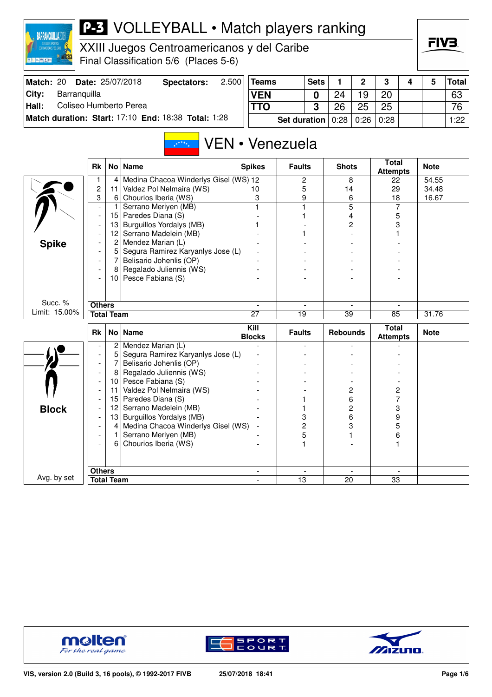| CENTROANERICANOS Y DEL CARLE<br>夏辰仁應区區 |                         |                   | XXIII Juegos Centroamericanos y del Caribe<br>Final Classification 5/6 (Places 5-6) |       |                                  |                              |             |                 |                |                                 |   | ГІУӘ        |       |
|----------------------------------------|-------------------------|-------------------|-------------------------------------------------------------------------------------|-------|----------------------------------|------------------------------|-------------|-----------------|----------------|---------------------------------|---|-------------|-------|
| Match: 20                              |                         |                   | Date: 25/07/2018<br>Spectators:                                                     | 2.500 | <b>Teams</b>                     |                              | <b>Sets</b> | 1               | $\mathbf 2$    | 3                               | 4 | 5           | Total |
| City:<br>Barranquilla                  |                         |                   |                                                                                     |       | <b>VEN</b>                       |                              | 0           | 24              | 19             | 20                              |   |             | 63    |
| Hall:<br>Coliseo Humberto Perea        |                         |                   |                                                                                     |       | <b>TTO</b>                       |                              | 3           | 26              | 25             | 25                              |   |             | 76    |
|                                        |                         |                   | Match duration: Start: 17:10 End: 18:38 Total: 1:28                                 |       |                                  | <b>Set duration</b>          |             | 0:28            | 0:26           | 0:28                            |   |             | 1:22  |
|                                        | <b>Rk</b>               |                   | $x^{\star^{\star\star\star}\star}$<br>No   Name                                     |       | VEN • Venezuela<br><b>Spikes</b> | <b>Faults</b>                |             | <b>Shots</b>    |                | <b>Total</b>                    |   | <b>Note</b> |       |
|                                        | 1                       | 4                 | Medina Chacoa Winderlys Gisel (WS) 12                                               |       |                                  | 2                            |             |                 | 8              | <b>Attempts</b><br>22           |   | 54.55       |       |
|                                        | $\overline{\mathbf{c}}$ | 11                | Valdez Pol Nelmaira (WS)                                                            |       | 10                               | 5                            |             | 14              |                | 29                              |   | 34.48       |       |
|                                        | 3                       | 6                 | Chourios Iberia (WS)                                                                |       | 3                                | 9                            |             | 6               |                | 18                              |   | 16.67       |       |
|                                        |                         | 1                 | Serrano Meriyen (MB)                                                                |       |                                  | 1                            |             |                 | $\overline{5}$ | 7                               |   |             |       |
|                                        |                         | 15                | Paredes Diana (S)                                                                   |       |                                  |                              |             |                 | 4              | 5                               |   |             |       |
|                                        |                         | 13                | Burguillos Yordalys (MB)                                                            |       |                                  |                              |             |                 | 2              | 3                               |   |             |       |
|                                        |                         | 12                | Serrano Madelein (MB)                                                               |       |                                  |                              |             |                 |                |                                 |   |             |       |
| <b>Spike</b>                           |                         | 2<br>5            | Mendez Marian (L)                                                                   |       |                                  |                              |             |                 |                |                                 |   |             |       |
|                                        |                         | 7                 | Segura Ramirez Karyanlys Jose (L)<br>Belisario Johenlis (OP)                        |       |                                  |                              |             |                 |                |                                 |   |             |       |
|                                        |                         |                   | Regalado Juliennis (WS)                                                             |       |                                  |                              |             |                 |                |                                 |   |             |       |
|                                        |                         | 10                | Pesce Fabiana (S)                                                                   |       |                                  |                              |             |                 |                |                                 |   |             |       |
| Succ. %                                | <b>Others</b>           |                   |                                                                                     |       |                                  |                              |             |                 |                |                                 |   |             |       |
| Limit: 15.00%                          |                         | <b>Total Team</b> |                                                                                     |       | 27                               | 19                           |             | 39              |                | 85                              |   | 31.76       |       |
|                                        |                         |                   |                                                                                     |       |                                  |                              |             |                 |                |                                 |   |             |       |
|                                        | <b>Rk</b>               | <b>No</b>         | <b>Name</b>                                                                         |       | Kill<br><b>Blocks</b>            | <b>Faults</b>                |             | <b>Rebounds</b> |                | <b>Total</b><br><b>Attempts</b> |   | <b>Note</b> |       |
|                                        |                         |                   | $2$ Mendez Marian (L)                                                               |       |                                  |                              |             |                 |                |                                 |   |             |       |
|                                        |                         | 5                 | Segura Ramirez Karyanlys Jose (L)<br>Belisario Johenlis (OP)                        |       |                                  |                              |             |                 |                |                                 |   |             |       |
|                                        |                         | 7<br>8            | Regalado Juliennis (WS)                                                             |       |                                  |                              |             |                 |                |                                 |   |             |       |
|                                        |                         | 10 I              | Pesce Fabiana (S)                                                                   |       |                                  |                              |             |                 |                |                                 |   |             |       |
|                                        |                         | 11                | Valdez Pol Nelmaira (WS)                                                            |       |                                  |                              |             |                 | 2              | 2                               |   |             |       |
|                                        |                         | 15                | Paredes Diana (S)                                                                   |       |                                  |                              |             |                 | 6              | 7                               |   |             |       |
| <b>Block</b>                           |                         | 12                | Serrano Madelein (MB)                                                               |       |                                  |                              |             |                 | 2              | 3                               |   |             |       |
|                                        |                         |                   | 13   Burguillos Yordalys (MB)                                                       |       |                                  | 3                            |             | 6               |                | 9                               |   |             |       |
|                                        |                         |                   | Medina Chacoa Winderlys Gisel (WS)<br>Serrano Meriyen (MB)                          |       |                                  | $\overline{\mathbf{c}}$<br>5 |             |                 | 3              | 5<br>6                          |   |             |       |
|                                        |                         |                   | 6 Chourios Iberia (WS)                                                              |       |                                  | 1                            |             |                 |                | 1                               |   |             |       |
|                                        |                         |                   |                                                                                     |       |                                  |                              |             |                 |                |                                 |   |             |       |
|                                        | <b>Others</b>           |                   |                                                                                     |       | $\overline{\phantom{a}}$         |                              |             |                 |                |                                 |   |             |       |
| Avg. by set                            |                         | <b>Total Team</b> |                                                                                     |       |                                  | 13                           |             | 20              |                | 33                              |   |             |       |



**BARRANQUILLA2018** 



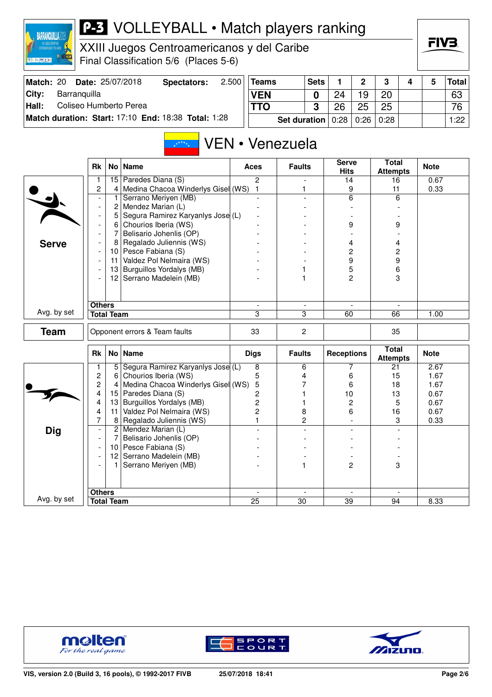

XXIII Juegos Centroamericanos y del Caribe Final Classification 5/6 (Places 5-6)

|  | FIV3. |
|--|-------|
|  |       |

| Match: 20     |              | <b>Date: 25/07/2018</b> | Spectators:                                         | 2.500 | Teams      | <b>Sets</b>                  |    | $\mathbf{\Omega}$ | -3   |  | Total |
|---------------|--------------|-------------------------|-----------------------------------------------------|-------|------------|------------------------------|----|-------------------|------|--|-------|
| City:         | Barranguilla |                         |                                                     |       | <b>VEN</b> |                              | 24 | 19                | 20   |  | 63    |
| $\vert$ Hall: |              | Coliseo Humberto Perea  |                                                     |       | TTO        | C                            | 26 | 25                | 25   |  | 76    |
|               |              |                         | Match duration: Start: 17:10 End: 18:38 Total: 1:28 |       |            | <b>Set duration</b> $ 0:28 $ |    | 0:26              | 0:28 |  | 1:22  |

#### VEN • Venezuela A<sup>xxx</sup>x.

|              | <b>Rk</b>                |                   | No   Name                          | <b>Aces</b>    | <b>Faults</b>            | <b>Serve</b><br><b>Hits</b> | <b>Total</b><br><b>Attempts</b> | <b>Note</b> |
|--------------|--------------------------|-------------------|------------------------------------|----------------|--------------------------|-----------------------------|---------------------------------|-------------|
|              | 1                        | 15                | Paredes Diana (S)                  | $\overline{2}$ | $\overline{a}$           | 14                          | 16                              | 0.67        |
|              | $\overline{c}$           | $\overline{4}$    | Medina Chacoa Winderlys Gisel (WS) | $\mathbf{1}$   | 1                        | 9                           | 11                              | 0.33        |
|              | $\blacksquare$           | 1                 | Serrano Meriyen (MB)               | $\overline{a}$ | $\overline{a}$           | 6                           | 6                               |             |
|              | $\overline{\phantom{a}}$ | 2                 | Mendez Marian (L)                  |                |                          |                             |                                 |             |
|              | $\overline{\phantom{a}}$ | 5                 | Segura Ramirez Karyanlys Jose (L)  |                |                          |                             |                                 |             |
|              | $\overline{\phantom{a}}$ | 6                 | Chourios Iberia (WS)               |                |                          | 9                           | 9                               |             |
|              |                          | 7                 | Belisario Johenlis (OP)            |                |                          |                             |                                 |             |
| <b>Serve</b> | $\overline{\phantom{a}}$ | 8                 | Regalado Juliennis (WS)            |                |                          | 4                           | 4                               |             |
|              | $\overline{\phantom{a}}$ |                   | 10 Pesce Fabiana (S)               |                |                          | 2                           | $\overline{c}$                  |             |
|              |                          | 11                | Valdez Pol Nelmaira (WS)           |                |                          | 9                           | 9                               |             |
|              | $\overline{a}$           | 13                | Burguillos Yordalys (MB)           |                | 1                        | 5                           | 6                               |             |
|              |                          |                   | 12 Serrano Madelein (MB)           |                | 1                        | 2                           | 3                               |             |
|              |                          |                   |                                    |                |                          |                             |                                 |             |
|              |                          |                   |                                    |                |                          |                             |                                 |             |
| Avg. by set  | <b>Others</b>            |                   |                                    | $\mathbf{r}$   | $\overline{\phantom{a}}$ | $\sim$                      | $\blacksquare$                  |             |
|              |                          | <b>Total Team</b> |                                    | 3              | 3                        | 60                          | 66                              | 1.00        |
| <b>Team</b>  |                          |                   | Opponent errors & Team faults      | 33             | $\overline{c}$           |                             | 35                              |             |
|              | <b>Rk</b>                |                   | No   Name                          | <b>Digs</b>    | <b>Faults</b>            | <b>Receptions</b>           | <b>Total</b><br><b>Attempts</b> | <b>Note</b> |
|              | 1                        | 5                 | Segura Ramirez Karyanlys Jose (L)  | 8              | 6                        | 7                           | 21                              | 2.67        |
|              | $\overline{c}$           | 6                 | Chourios Iberia (WS)               | 5              | 4                        | 6                           | 15                              | 1.67        |
|              | $\overline{c}$           | 4                 | Medina Chacoa Winderlys Gisel (WS) | 5              | 7                        | 6                           | 18                              | 1.67        |
|              | 4                        | 15                | Paredes Diana (S)                  | 2              |                          | 10                          | 13                              | 0.67        |
|              | 4                        | 13                | Burguillos Yordalys (MB)           | 2              | 1                        | 2                           | 5                               | 0.67        |
|              | 4                        | 11                | Valdez Pol Nelmaira (WS)           | $\overline{2}$ | 8                        | 6                           | 16                              | 0.67        |
|              | $\overline{7}$           | 8 <sup>1</sup>    | Regalado Juliennis (WS)            | $\mathbf{1}$   | $\overline{c}$           |                             | 3                               | 0.33        |
| Dig          | $\overline{\phantom{a}}$ |                   | 2 Mendez Marian (L)                |                |                          | $\blacksquare$              |                                 |             |
|              | $\overline{\phantom{a}}$ | $\overline{7}$    | Belisario Johenlis (OP)            |                |                          |                             |                                 |             |
|              | $\overline{a}$           |                   | 10 Pesce Fabiana (S)               |                |                          |                             |                                 |             |
|              | $\overline{\phantom{a}}$ |                   | 12 Serrano Madelein (MB)           |                |                          |                             |                                 |             |
|              |                          | 1.                | Serrano Meriyen (MB)               |                | 1                        | $\overline{c}$              | 3                               |             |
|              |                          |                   |                                    |                |                          |                             |                                 |             |
|              |                          |                   |                                    |                |                          |                             |                                 |             |
| Avg. by set  | <b>Others</b>            |                   |                                    | $\sim$         | $\overline{\phantom{a}}$ | $\overline{\phantom{a}}$    |                                 |             |
|              |                          | <b>Total Team</b> |                                    | 25             | 30                       | 39                          | 94                              | 8.33        |





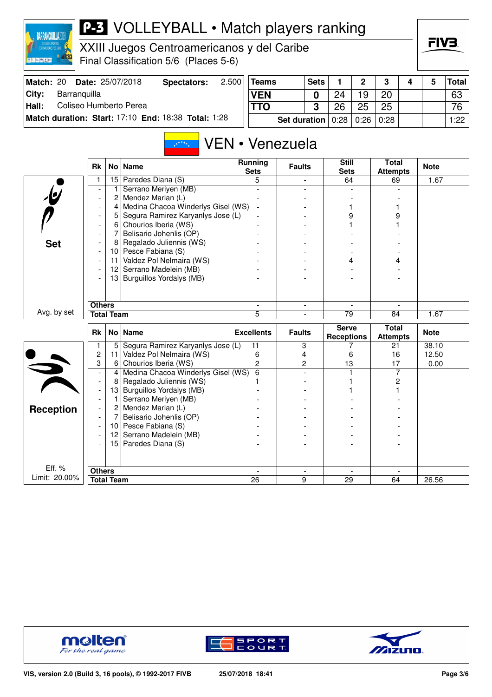

XXIII Juegos Centroamericanos y del Caribe Final Classification 5/6 (Places 5-6)

|  | FIV | s |  |
|--|-----|---|--|
|  |     |   |  |

| Match: 20 |              | <b>Date: 25/07/2018</b> | Spectators:                                         | 2.500 | Teams      |                                          | <b>Sets</b> |    | ົ  |    |  | Total ∣ |
|-----------|--------------|-------------------------|-----------------------------------------------------|-------|------------|------------------------------------------|-------------|----|----|----|--|---------|
| ∣Citv:    | Barranguilla |                         |                                                     |       | <b>VEN</b> |                                          |             |    | 19 | 20 |  | 63      |
| Hall:     |              | Coliseo Humberto Perea  |                                                     |       | <b>TTO</b> |                                          |             | 26 | 25 | 25 |  | 76      |
|           |              |                         | Match duration: Start: 17:10 End: 18:38 Total: 1:28 |       |            | <b>Set duration</b> $0:28$   0:26   0:28 |             |    |    |    |  | 1:22    |

#### VEN • Venezuela  $x^{x^{x^{x}}+1}$

|                         | <b>Rk</b>                          |                   | No   Name                          | <b>Running</b><br><b>Sets</b> | <b>Faults</b>            | <b>Still</b><br><b>Sets</b>       | <b>Total</b><br><b>Attempts</b> | <b>Note</b> |
|-------------------------|------------------------------------|-------------------|------------------------------------|-------------------------------|--------------------------|-----------------------------------|---------------------------------|-------------|
|                         | 1                                  |                   | 15 Paredes Diana (S)               | 5                             |                          | 64                                | 69                              | 1.67        |
|                         |                                    | 1                 | Serrano Meriyen (MB)               |                               |                          |                                   |                                 |             |
| $\overline{\mathbf{e}}$ |                                    | 2                 | Mendez Marian (L)                  |                               |                          |                                   |                                 |             |
|                         |                                    | 4                 | Medina Chacoa Winderlys Gisel (WS) |                               |                          |                                   |                                 |             |
|                         |                                    | 5                 | Segura Ramirez Karyanlys Jose (L)  |                               |                          | 9                                 | 9                               |             |
|                         |                                    | 6                 | Chourios Iberia (WS)               |                               |                          |                                   |                                 |             |
|                         |                                    | 7                 | Belisario Johenlis (OP)            |                               |                          |                                   |                                 |             |
| <b>Set</b>              |                                    | 8                 | Regalado Juliennis (WS)            |                               |                          |                                   |                                 |             |
|                         |                                    | 10                | Pesce Fabiana (S)                  |                               |                          |                                   |                                 |             |
|                         |                                    | 11                | Valdez Pol Nelmaira (WS)           |                               |                          | 4                                 |                                 |             |
|                         |                                    | 12                | Serrano Madelein (MB)              |                               |                          |                                   |                                 |             |
|                         |                                    | 13                | Burguillos Yordalys (MB)           |                               |                          |                                   |                                 |             |
|                         |                                    |                   |                                    |                               |                          |                                   |                                 |             |
|                         |                                    |                   |                                    |                               |                          |                                   |                                 |             |
|                         | <b>Others</b>                      |                   |                                    |                               | $\overline{\phantom{a}}$ |                                   |                                 |             |
| Avg. by set             |                                    | <b>Total Team</b> |                                    | $\overline{5}$                |                          | $\overline{79}$                   | 84                              | 1.67        |
|                         |                                    |                   |                                    |                               |                          |                                   |                                 |             |
|                         | <b>Rk</b>                          |                   | No Name                            | <b>Excellents</b>             | <b>Faults</b>            | <b>Serve</b><br><b>Receptions</b> | <b>Total</b><br><b>Attempts</b> | <b>Note</b> |
|                         | 1                                  | 5                 | Segura Ramirez Karyanlys Jose (L)  | 11                            | 3                        |                                   | 21                              | 38.10       |
|                         | $\overline{c}$                     | 11                | Valdez Pol Nelmaira (WS)           | 6                             | 4                        | 6                                 | 16                              | 12.50       |
|                         | 3                                  | 6                 | Chourios Iberia (WS)               | $\overline{2}$                | $\overline{c}$           | 13                                | 17                              | 0.00        |
|                         |                                    | 4                 | Medina Chacoa Winderlys Gisel (WS) | 6                             |                          |                                   | 7                               |             |
|                         | $\overline{\phantom{a}}$           | 8                 | Regalado Juliennis (WS)            |                               |                          |                                   | 2                               |             |
|                         | $\overline{\phantom{a}}$           | 13                | Burguillos Yordalys (MB)           |                               |                          |                                   |                                 |             |
|                         |                                    | 1                 | Serrano Meriyen (MB)               |                               |                          |                                   |                                 |             |
|                         |                                    | $\overline{2}$    | Mendez Marian (L)                  |                               |                          |                                   |                                 |             |
| <b>Reception</b>        |                                    | 7                 | Belisario Johenlis (OP)            |                               |                          |                                   |                                 |             |
|                         |                                    | 10 <sup>1</sup>   | Pesce Fabiana (S)                  |                               |                          |                                   |                                 |             |
|                         |                                    | 12                | Serrano Madelein (MB)              |                               |                          |                                   |                                 |             |
|                         |                                    | 15 <sub>1</sub>   | Paredes Diana (S)                  |                               |                          |                                   |                                 |             |
|                         |                                    |                   |                                    |                               |                          |                                   |                                 |             |
|                         |                                    |                   |                                    |                               |                          |                                   |                                 |             |
| Eff. %<br>Limit: 20.00% | <b>Others</b><br><b>Total Team</b> |                   |                                    | 26                            | 9                        | 29                                | 64                              | 26.56       |





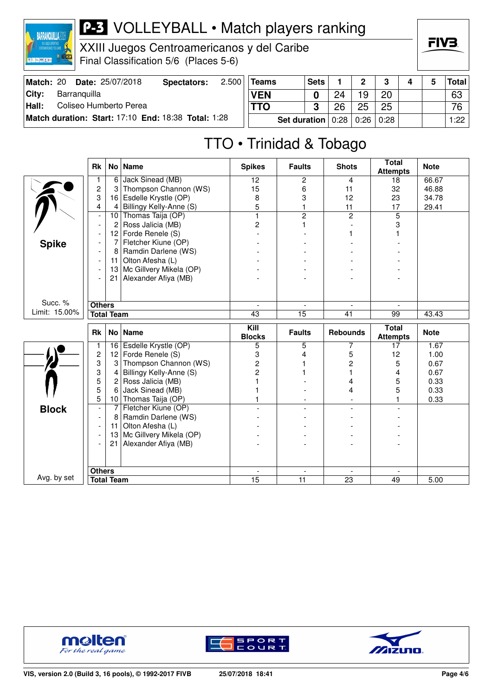

XXIII Juegos Centroamericanos y del Caribe Final Classification 5/6 (Places 5-6)

|  | FIV3 |  |  |
|--|------|--|--|
|  |      |  |  |

| Match: 20 |              | <b>Date: 25/07/2018</b> | Spectators:                                         | 2.500 | Teams      |              | <b>Sets</b> |                  |    |      |  | Total |
|-----------|--------------|-------------------------|-----------------------------------------------------|-------|------------|--------------|-------------|------------------|----|------|--|-------|
| ∣Citv:    | Barranguilla |                         |                                                     |       | <b>VEN</b> |              |             | 24               | 19 | 20   |  | 63    |
| Hall:     |              | Coliseo Humberto Perea  |                                                     |       |            |              |             | 26               | 25 | 25   |  | 76    |
|           |              |                         | Match duration: Start: 17:10 End: 18:38 Total: 1:28 |       |            | Set duration |             | $0:28 \mid 0:26$ |    | 0:28 |  | 1:22  |

# TTO • Trinidad & Tobago

|               | <b>Rk</b>                |                 | No   Name               | <b>Spikes</b>         | <b>Faults</b>            | <b>Shots</b>             | <b>Total</b><br><b>Attempts</b> | <b>Note</b> |
|---------------|--------------------------|-----------------|-------------------------|-----------------------|--------------------------|--------------------------|---------------------------------|-------------|
|               |                          | 6               | Jack Sinead (MB)        | 12                    | 2                        | 4                        | 18                              | 66.67       |
|               | $\overline{c}$           | 3               | Thompson Channon (WS)   | 15                    | 6                        | 11                       | 32                              | 46.88       |
|               | 3                        | 16              | Esdelle Krystle (OP)    | 8                     | 3                        | 12                       | 23                              | 34.78       |
|               | 4                        | 4               | Billingy Kelly-Anne (S) | 5                     | 1                        | 11                       | 17                              | 29.41       |
|               | $\overline{\phantom{a}}$ | 10              | Thomas Taija (OP)       | $\mathbf{1}$          | $\overline{2}$           | $\overline{2}$           | 5                               |             |
|               | $\overline{\phantom{a}}$ | $\overline{c}$  | Ross Jalicia (MB)       | 2                     | 1                        |                          | 3                               |             |
|               |                          | 12              | Forde Renele (S)        |                       |                          |                          |                                 |             |
| <b>Spike</b>  |                          | 7               | Fletcher Kiune (OP)     |                       |                          |                          |                                 |             |
|               |                          | 8               | Ramdin Darlene (WS)     |                       |                          |                          |                                 |             |
|               |                          | 11              | Olton Afesha (L)        |                       |                          |                          |                                 |             |
|               |                          | 13              | Mc Gillvery Mikela (OP) |                       |                          |                          |                                 |             |
|               |                          | 21              | Alexander Afiya (MB)    |                       |                          |                          |                                 |             |
|               |                          |                 |                         |                       |                          |                          |                                 |             |
| Succ. %       | <b>Others</b>            |                 |                         | $\blacksquare$        | $\overline{\phantom{a}}$ | $\overline{\phantom{a}}$ | $\overline{\phantom{a}}$        |             |
| Limit: 15.00% | <b>Total Team</b>        |                 |                         | 43                    | 15                       | 41                       | 99                              | 43.43       |
|               |                          |                 |                         |                       |                          |                          |                                 |             |
|               | <b>Rk</b>                |                 | No   Name               | Kill<br><b>Blocks</b> | <b>Faults</b>            | <b>Rebounds</b>          | <b>Total</b><br><b>Attempts</b> | <b>Note</b> |
|               | $\mathbf{1}$             | 16              | Esdelle Krystle (OP)    | 5                     | 5                        | 7                        | 17                              | 1.67        |
|               |                          |                 |                         |                       |                          |                          |                                 |             |
|               | $\overline{c}$           | 12              | Forde Renele (S)        | 3                     | 4                        | 5                        | 12                              | 1.00        |
|               | 3                        | 3               | Thompson Channon (WS)   | 2                     | 1                        | 2                        | 5                               | 0.67        |
|               | 3                        | 4               | Billingy Kelly-Anne (S) | $\overline{2}$        |                          |                          | 4                               | 0.67        |
|               | 5                        | $\mathbf{2}$    | Ross Jalicia (MB)       |                       |                          | 4                        | 5                               | 0.33        |
|               | 5                        | 6               | Jack Sinead (MB)        |                       |                          | 4                        | 5                               | 0.33        |
|               | 5                        | 10 <sup>°</sup> | Thomas Taija (OP)       |                       |                          |                          | 1                               | 0.33        |
|               |                          | 7               | Fletcher Kiune (OP)     |                       |                          | $\overline{\phantom{a}}$ |                                 |             |
| <b>Block</b>  | $\overline{\phantom{a}}$ | 8               | Ramdin Darlene (WS)     |                       |                          |                          |                                 |             |
|               |                          | 11              | Olton Afesha (L)        |                       |                          |                          |                                 |             |
|               |                          | 13              | Mc Gillvery Mikela (OP) |                       |                          |                          |                                 |             |
|               |                          | 21              | Alexander Afiya (MB)    |                       |                          |                          |                                 |             |
|               |                          |                 |                         |                       |                          |                          |                                 |             |
| Avg. by set   | <b>Others</b>            |                 |                         | $\mathbf{r}$          | $\blacksquare$           |                          |                                 |             |





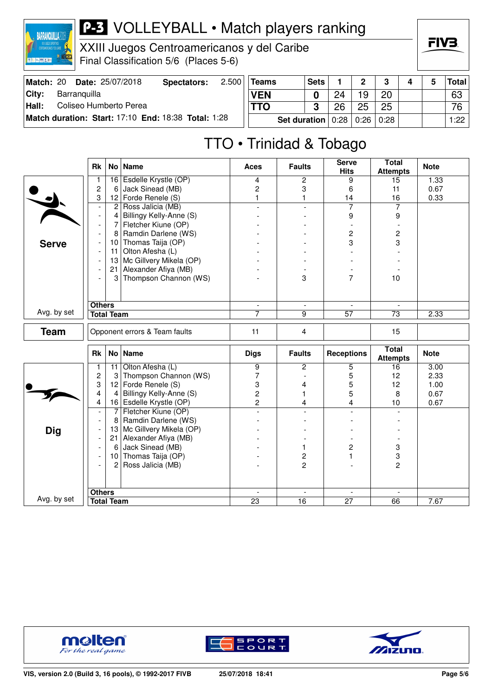

XXIII Juegos Centroamericanos y del Caribe Final Classification 5/6 (Places 5-6)

| Match: 20 |              | <b>Date: 25/07/2018</b> | Spectators:                                         | 2.500 | Teams      | <b>Sets</b>           |    | າ    | 3    | 4 | 5 | Totall |
|-----------|--------------|-------------------------|-----------------------------------------------------|-------|------------|-----------------------|----|------|------|---|---|--------|
| City:     | Barranquilla |                         |                                                     |       | <b>VEN</b> |                       | 24 | 1 Q  | 20   |   |   | 63     |
| Hall:     |              | Coliseo Humberto Perea  |                                                     |       | <b>TTO</b> | ≏<br>w                | 26 | 25   | 25   |   |   | 76     |
|           |              |                         | Match duration: Start: 17:10 End: 18:38 Total: 1:28 |       |            | Set duration $ 0:28 $ |    | 0:26 | 0:28 |   |   | 1:22   |

# TTO • Trinidad & Tobago

| <b>Attempts</b><br>16 Esdelle Krystle (OP)<br>2<br>9<br>15<br>4<br>1<br>$\overline{c}$<br>Jack Sinead (MB)<br>$\overline{c}$<br>3<br>6<br>6<br>11<br>3<br>Forde Renele (S)<br>$\mathbf{1}$<br>12<br>1<br>14<br>16<br>Ross Jalicia (MB)<br>7<br>$\overline{7}$<br>$\overline{2}$<br>$\overline{a}$<br>$\overline{a}$<br>$\overline{\phantom{a}}$<br>Billingy Kelly-Anne (S)<br>9<br>4<br>9<br>$\overline{\phantom{a}}$ | 1.33<br>0.67<br>0.33 |
|-----------------------------------------------------------------------------------------------------------------------------------------------------------------------------------------------------------------------------------------------------------------------------------------------------------------------------------------------------------------------------------------------------------------------|----------------------|
|                                                                                                                                                                                                                                                                                                                                                                                                                       |                      |
|                                                                                                                                                                                                                                                                                                                                                                                                                       |                      |
|                                                                                                                                                                                                                                                                                                                                                                                                                       |                      |
|                                                                                                                                                                                                                                                                                                                                                                                                                       |                      |
|                                                                                                                                                                                                                                                                                                                                                                                                                       |                      |
| 7<br>Fletcher Kiune (OP)<br>$\overline{\phantom{a}}$                                                                                                                                                                                                                                                                                                                                                                  |                      |
| Ramdin Darlene (WS)<br>2<br>$\overline{c}$<br>8                                                                                                                                                                                                                                                                                                                                                                       |                      |
| 3<br>Thomas Taija (OP)<br>3<br>10<br><b>Serve</b><br>$\overline{\phantom{a}}$                                                                                                                                                                                                                                                                                                                                         |                      |
| Olton Afesha (L)<br>11<br>$\overline{\phantom{a}}$                                                                                                                                                                                                                                                                                                                                                                    |                      |
| Mc Gillvery Mikela (OP)<br>13<br>$\overline{\phantom{a}}$                                                                                                                                                                                                                                                                                                                                                             |                      |
| Alexander Afiya (MB)<br>21                                                                                                                                                                                                                                                                                                                                                                                            |                      |
| Thompson Channon (WS)<br>7<br>3<br>3<br>10                                                                                                                                                                                                                                                                                                                                                                            |                      |
|                                                                                                                                                                                                                                                                                                                                                                                                                       |                      |
| <b>Others</b><br>$\blacksquare$<br>$\blacksquare$<br>$\sim$                                                                                                                                                                                                                                                                                                                                                           |                      |
| Avg. by set<br><b>Total Team</b><br>9<br>$\overline{57}$<br>7<br>$\overline{73}$                                                                                                                                                                                                                                                                                                                                      | 2.33                 |
| <b>Team</b><br>11<br>$\overline{4}$<br>15<br>Opponent errors & Team faults                                                                                                                                                                                                                                                                                                                                            |                      |
| <b>Total</b><br>No   Name<br><b>Faults</b><br><b>Receptions</b><br>Rk<br><b>Digs</b><br><b>Attempts</b>                                                                                                                                                                                                                                                                                                               | <b>Note</b>          |
| Olton Afesha (L)<br>$\overline{9}$<br>$\overline{c}$<br>$\overline{5}$<br>11<br>16<br>1                                                                                                                                                                                                                                                                                                                               | 3.00                 |
| $\overline{c}$<br>Thompson Channon (WS)<br>7<br>5<br>12<br>3                                                                                                                                                                                                                                                                                                                                                          | 2.33                 |
| 3<br>12 Forde Renele (S)<br>3<br>5<br>12<br>4                                                                                                                                                                                                                                                                                                                                                                         | 1.00                 |
| $\overline{c}$<br>5<br>Billingy Kelly-Anne (S)<br>4<br>8<br>4<br>1                                                                                                                                                                                                                                                                                                                                                    | 0.67                 |
| $\overline{2}$<br>16 Esdelle Krystle (OP)<br>4<br>4<br>4<br>10                                                                                                                                                                                                                                                                                                                                                        | 0.67                 |
| Fletcher Kiune (OP)<br>7<br>$\overline{\phantom{a}}$<br>$\overline{a}$<br>$\overline{a}$<br>$\overline{a}$                                                                                                                                                                                                                                                                                                            |                      |
| Ramdin Darlene (WS)<br>8                                                                                                                                                                                                                                                                                                                                                                                              |                      |
| 13 Mc Gillvery Mikela (OP)<br><b>Dig</b>                                                                                                                                                                                                                                                                                                                                                                              |                      |
| 21 Alexander Afiya (MB)<br>$\overline{\phantom{a}}$                                                                                                                                                                                                                                                                                                                                                                   |                      |
| 3<br>Jack Sinead (MB)<br>2<br>6<br>1                                                                                                                                                                                                                                                                                                                                                                                  |                      |
| 10 Thomas Taija (OP)<br>2<br>3<br>1.<br>$\overline{\phantom{a}}$                                                                                                                                                                                                                                                                                                                                                      |                      |
| Ross Jalicia (MB)<br>$\overline{2}$<br>$\overline{2}$<br>2                                                                                                                                                                                                                                                                                                                                                            |                      |
|                                                                                                                                                                                                                                                                                                                                                                                                                       |                      |
| <b>Others</b><br>$\overline{\phantom{a}}$<br>$\mathbf{r}$<br>$\blacksquare$<br>$\overline{\phantom{a}}$                                                                                                                                                                                                                                                                                                               |                      |
| Avg. by set<br>23<br>16<br>27<br><b>Total Team</b><br>66                                                                                                                                                                                                                                                                                                                                                              | 7.67                 |







FIV<sub>3</sub>